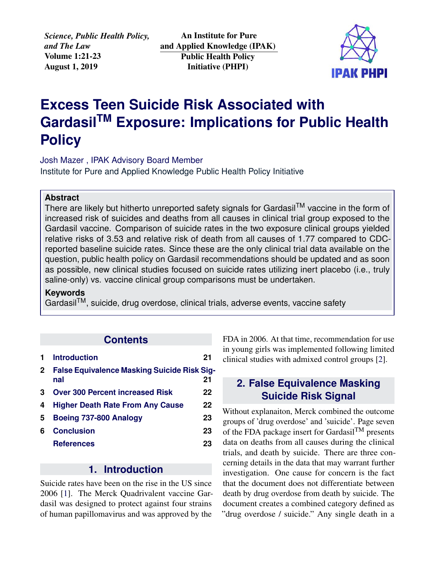*Science, Public Health Policy, and The Law* Volume 1:21-23 August 1, 2019

An Institute for Pure and Applied Knowledge (IPAK) Public Health Policy Initiative (PHPI)



# **Excess Teen Suicide Risk Associated with GardasilTM Exposure: Implications for Public Health Policy**

Josh Mazer , IPAK Advisory Board Member [Institute for Pure and Applied Knowledge Public Health Policy Initiative](https://jameslyonsweiler.com/ )

#### **Abstract**

There are likely but hitherto unreported safety signals for Gardasil<sup>TM</sup> vaccine in the form of increased risk of suicides and deaths from all causes in clinical trial group exposed to the Gardasil vaccine. Comparison of suicide rates in the two exposure clinical groups yielded relative risks of 3.53 and relative risk of death from all causes of 1.77 compared to CDCreported baseline suicide rates. Since these are the only clinical trial data available on the question, public health policy on Gardasil recommendations should be updated and as soon as possible, new clinical studies focused on suicide rates utilizing inert placebo (i.e., truly saline-only) vs. vaccine clinical group comparisons must be undertaken.

#### **Keywords**

GardasilTM, suicide, drug overdose, clinical trials, adverse events, vaccine safety

#### **Contents**

|              | <b>Introduction</b>                                       | 21 |
|--------------|-----------------------------------------------------------|----|
| $\mathbf{2}$ | <b>False Equivalence Masking Suicide Risk Sig-</b><br>nal | 21 |
| 3            | <b>Over 300 Percent increased Risk</b>                    | 22 |
| 4            | <b>Higher Death Rate From Any Cause</b>                   | 22 |
| 5            | Boeing 737-800 Analogy                                    | 23 |
| 6            | <b>Conclusion</b>                                         | 23 |
|              | <b>References</b>                                         | 23 |

### **1. Introduction**

<span id="page-0-0"></span>Suicide rates have been on the rise in the US since 2006 [\[1\]](#page-2-2). The Merck Quadrivalent vaccine Gardasil was designed to protect against four strains of human papillomavirus and was approved by the

FDA in 2006. At that time, recommendation for use in young girls was implemented following limited clinical studies with admixed control groups [\[2\]](#page-2-3).

## <span id="page-0-1"></span>**2. False Equivalence Masking Suicide Risk Signal**

Without explanaiton, Merck combined the outcome groups of 'drug overdose' and 'suicide'. Page seven of the FDA package insert for Gardasil<sup>TM</sup> presents data on deaths from all causes during the clinical trials, and death by suicide. There are three concerning details in the data that may warrant further investigation. One cause for concern is the fact that the document does not differentiate between death by drug overdose from death by suicide. The document creates a combined category defined as "drug overdose / suicide." Any single death in a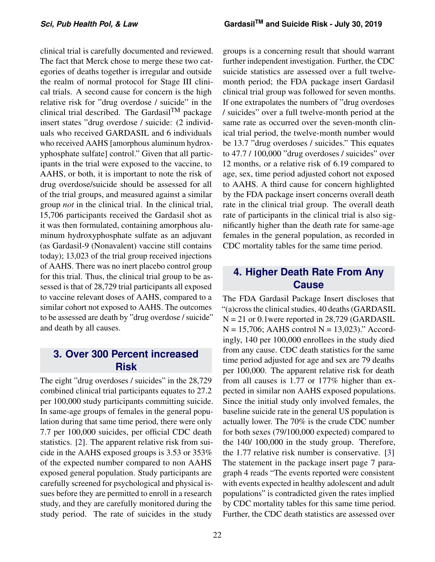clinical trial is carefully documented and reviewed. The fact that Merck chose to merge these two categories of deaths together is irregular and outside the realm of normal protocol for Stage III clinical trials. A second cause for concern is the high relative risk for "drug overdose / suicide" in the clinical trial described. The Gardasil<sup>TM</sup> package insert states "drug overdose / suicide: (2 individuals who received GARDASIL and 6 individuals who received AAHS [amorphous aluminum hydroxyphosphate sulfate] control." Given that all participants in the trial were exposed to the vaccine, to AAHS, or both, it is important to note the risk of drug overdose/suicide should be assessed for all of the trial groups, and measured against a similar group *not* in the clinical trial. In the clinical trial, 15,706 participants received the Gardasil shot as it was then formulated, containing amorphous aluminum hydroxyphosphate sulfate as an adjuvant (as Gardasil-9 (Nonavalent) vaccine still contains today); 13,023 of the trial group received injections of AAHS. There was no inert placebo control group for this trial. Thus, the clinical trial group to be assessed is that of 28,729 trial participants all exposed to vaccine relevant doses of AAHS, compared to a similar cohort not exposed to AAHS. The outcomes to be assessed are death by "drug overdose / suicide" and death by all causes.

## <span id="page-1-0"></span>**3. Over 300 Percent increased Risk**

The eight "drug overdoses / suicides" in the 28,729 combined clinical trial participants equates to 27.2 per 100,000 study participants committing suicide. In same-age groups of females in the general population during that same time period, there were only 7.7 per 100,000 suicides, per official CDC death statistics. [\[2\]](#page-2-3). The apparent relative risk from suicide in the AAHS exposed groups is 3.53 or 353% of the expected number compared to non AAHS exposed general population. Study participants are carefully screened for psychological and physical issues before they are permitted to enroll in a research study, and they are carefully monitored during the study period. The rate of suicides in the study

groups is a concerning result that should warrant further independent investigation. Further, the CDC suicide statistics are assessed over a full twelvemonth period; the FDA package insert Gardasil clinical trial group was followed for seven months. If one extrapolates the numbers of "drug overdoses / suicides" over a full twelve-month period at the same rate as occurred over the seven-month clinical trial period, the twelve-month number would be 13.7 "drug overdoses / suicides." This equates to 47.7 / 100,000 "drug overdoses / suicides" over 12 months, or a relative risk of 6.19 compared to age, sex, time period adjusted cohort not exposed to AAHS. A third cause for concern highlighted by the FDA package insert concerns overall death rate in the clinical trial group. The overall death rate of participants in the clinical trial is also significantly higher than the death rate for same-age females in the general population, as recorded in CDC mortality tables for the same time period.

## <span id="page-1-1"></span>**4. Higher Death Rate From Any Cause**

The FDA Gardasil Package Insert discloses that "(a)cross the clinical studies, 40 deaths (GARDASIL  $N = 21$  or 0.1 were reported in 28,729 (GARDASIL  $N = 15,706$ ; AAHS control  $N = 13,023$ )." Accordingly, 140 per 100,000 enrollees in the study died from any cause. CDC death statistics for the same time period adjusted for age and sex are 79 deaths per 100,000. The apparent relative risk for death from all causes is 1.77 or 177% higher than expected in similar non AAHS exposed populations. Since the initial study only involved females, the baseline suicide rate in the general US population is actually lower. The 70% is the crude CDC number for both sexes (79/100,000 expected) compared to the 140/ 100,000 in the study group. Therefore, the 1.77 relative risk number is conservative. [\[3\]](#page-2-4) The statement in the package insert page 7 paragraph 4 reads "The events reported were consistent with events expected in healthy adolescent and adult populations" is contradicted given the rates implied by CDC mortality tables for this same time period. Further, the CDC death statistics are assessed over